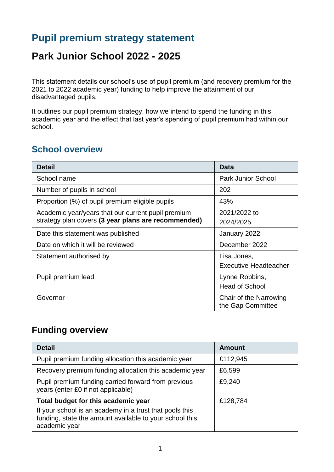# **Pupil premium strategy statement**

# **Park Junior School 2022 - 2025**

This statement details our school's use of pupil premium (and recovery premium for the 2021 to 2022 academic year) funding to help improve the attainment of our disadvantaged pupils.

It outlines our pupil premium strategy, how we intend to spend the funding in this academic year and the effect that last year's spending of pupil premium had within our school.

#### **School overview**

| <b>Detail</b>                                       | Data                                        |  |
|-----------------------------------------------------|---------------------------------------------|--|
| School name                                         | <b>Park Junior School</b>                   |  |
| Number of pupils in school                          | 202                                         |  |
| Proportion (%) of pupil premium eligible pupils     | 43%                                         |  |
| Academic year/years that our current pupil premium  | 2021/2022 to                                |  |
| strategy plan covers (3 year plans are recommended) | 2024/2025                                   |  |
| Date this statement was published                   | January 2022                                |  |
| Date on which it will be reviewed                   | December 2022                               |  |
| Statement authorised by                             | Lisa Jones,                                 |  |
|                                                     | <b>Executive Headteacher</b>                |  |
| Pupil premium lead                                  | Lynne Robbins,                              |  |
|                                                     | <b>Head of School</b>                       |  |
| Governor                                            | Chair of the Narrowing<br>the Gap Committee |  |

#### **Funding overview**

| <b>Detail</b>                                                                                                                       | <b>Amount</b> |
|-------------------------------------------------------------------------------------------------------------------------------------|---------------|
| Pupil premium funding allocation this academic year                                                                                 | £112,945      |
| Recovery premium funding allocation this academic year                                                                              | £6,599        |
| Pupil premium funding carried forward from previous<br>years (enter £0 if not applicable)                                           | £9,240        |
| Total budget for this academic year                                                                                                 | £128,784      |
| If your school is an academy in a trust that pools this<br>funding, state the amount available to your school this<br>academic year |               |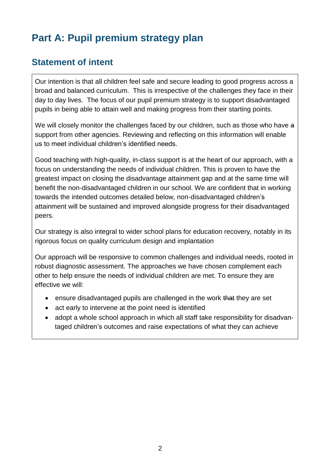# **Part A: Pupil premium strategy plan**

### **Statement of intent**

Our intention is that all children feel safe and secure leading to good progress across a broad and balanced curriculum. This is irrespective of the challenges they face in their day to day lives. The focus of our pupil premium strategy is to support disadvantaged pupils in being able to attain well and making progress from their starting points.

We will closely monitor the challenges faced by our children, such as those who have a support from other agencies. Reviewing and reflecting on this information will enable us to meet individual children's identified needs.

Good teaching with high-quality, in-class support is at the heart of our approach, with a focus on understanding the needs of individual children. This is proven to have the greatest impact on closing the disadvantage attainment gap and at the same time will benefit the non-disadvantaged children in our school. We are confident that in working towards the intended outcomes detailed below, non-disadvantaged children's attainment will be sustained and improved alongside progress for their disadvantaged peers.

Our strategy is also integral to wider school plans for education recovery, notably in its rigorous focus on quality curriculum design and implantation

Our approach will be responsive to common challenges and individual needs, rooted in robust diagnostic assessment. The approaches we have chosen complement each other to help ensure the needs of individual children are met. To ensure they are effective we will:

- ensure disadvantaged pupils are challenged in the work that they are set
- act early to intervene at the point need is identified
- adopt a whole school approach in which all staff take responsibility for disadvantaged children's outcomes and raise expectations of what they can achieve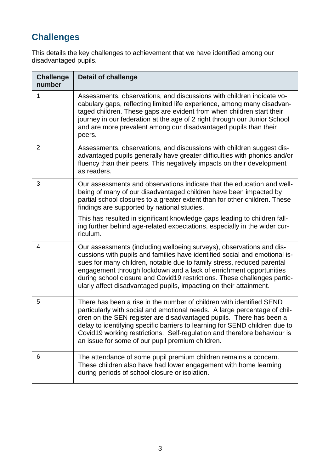# **Challenges**

This details the key challenges to achievement that we have identified among our disadvantaged pupils.

| <b>Challenge</b><br>number | <b>Detail of challenge</b>                                                                                                                                                                                                                                                                                                                                                                                                                           |
|----------------------------|------------------------------------------------------------------------------------------------------------------------------------------------------------------------------------------------------------------------------------------------------------------------------------------------------------------------------------------------------------------------------------------------------------------------------------------------------|
| 1                          | Assessments, observations, and discussions with children indicate vo-<br>cabulary gaps, reflecting limited life experience, among many disadvan-<br>taged children. These gaps are evident from when children start their<br>journey in our federation at the age of 2 right through our Junior School<br>and are more prevalent among our disadvantaged pupils than their<br>peers.                                                                 |
| $\overline{2}$             | Assessments, observations, and discussions with children suggest dis-<br>advantaged pupils generally have greater difficulties with phonics and/or<br>fluency than their peers. This negatively impacts on their development<br>as readers.                                                                                                                                                                                                          |
| 3                          | Our assessments and observations indicate that the education and well-<br>being of many of our disadvantaged children have been impacted by<br>partial school closures to a greater extent than for other children. These<br>findings are supported by national studies.                                                                                                                                                                             |
|                            | This has resulted in significant knowledge gaps leading to children fall-<br>ing further behind age-related expectations, especially in the wider cur-<br>riculum.                                                                                                                                                                                                                                                                                   |
| 4                          | Our assessments (including wellbeing surveys), observations and dis-<br>cussions with pupils and families have identified social and emotional is-<br>sues for many children, notable due to family stress, reduced parental<br>engagement through lockdown and a lack of enrichment opportunities<br>during school closure and Covid19 restrictions. These challenges partic-<br>ularly affect disadvantaged pupils, impacting on their attainment. |
| 5                          | There has been a rise in the number of children with identified SEND<br>particularly with social and emotional needs. A large percentage of chil-<br>dren on the SEN register are disadvantaged pupils. There has been a<br>delay to identifying specific barriers to learning for SEND children due to<br>Covid19 working restrictions. Self-regulation and therefore behaviour is<br>an issue for some of our pupil premium children.              |
| 6                          | The attendance of some pupil premium children remains a concern.<br>These children also have had lower engagement with home learning<br>during periods of school closure or isolation.                                                                                                                                                                                                                                                               |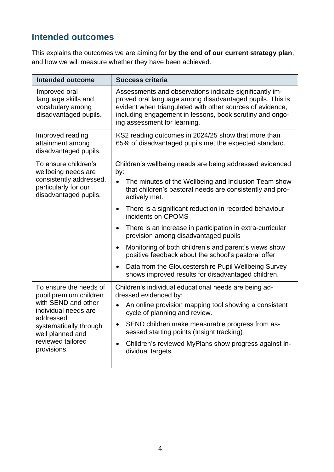## **Intended outcomes**

This explains the outcomes we are aiming for **by the end of our current strategy plan**, and how we will measure whether they have been achieved.

| <b>Intended outcome</b>                                                                                                                                                                        | <b>Success criteria</b>                                                                                                                                                                                                                                                                                                                                                                                                                                                                                                                                                                                                                                                                  |
|------------------------------------------------------------------------------------------------------------------------------------------------------------------------------------------------|------------------------------------------------------------------------------------------------------------------------------------------------------------------------------------------------------------------------------------------------------------------------------------------------------------------------------------------------------------------------------------------------------------------------------------------------------------------------------------------------------------------------------------------------------------------------------------------------------------------------------------------------------------------------------------------|
| Improved oral<br>language skills and<br>vocabulary among<br>disadvantaged pupils.                                                                                                              | Assessments and observations indicate significantly im-<br>proved oral language among disadvantaged pupils. This is<br>evident when triangulated with other sources of evidence,<br>including engagement in lessons, book scrutiny and ongo-<br>ing assessment for learning.                                                                                                                                                                                                                                                                                                                                                                                                             |
| Improved reading<br>attainment among<br>disadvantaged pupils.                                                                                                                                  | KS2 reading outcomes in 2024/25 show that more than<br>65% of disadvantaged pupils met the expected standard.                                                                                                                                                                                                                                                                                                                                                                                                                                                                                                                                                                            |
| To ensure children's<br>wellbeing needs are<br>consistently addressed,<br>particularly for our<br>disadvantaged pupils.                                                                        | Children's wellbeing needs are being addressed evidenced<br>by:<br>$\bullet$<br>The minutes of the Wellbeing and Inclusion Team show<br>that children's pastoral needs are consistently and pro-<br>actively met.<br>There is a significant reduction in recorded behaviour<br>$\bullet$<br>incidents on CPOMS<br>There is an increase in participation in extra-curricular<br>$\bullet$<br>provision among disadvantaged pupils<br>Monitoring of both children's and parent's views show<br>$\bullet$<br>positive feedback about the school's pastoral offer<br>Data from the Gloucestershire Pupil Wellbeing Survey<br>$\bullet$<br>shows improved results for disadvantaged children. |
| To ensure the needs of<br>pupil premium children<br>with SEND and other<br>individual needs are<br>addressed<br>systematically through<br>well planned and<br>reviewed tailored<br>provisions. | Children's individual educational needs are being ad-<br>dressed evidenced by:<br>An online provision mapping tool showing a consistent<br>cycle of planning and review.<br>SEND children make measurable progress from as-<br>$\bullet$<br>sessed starting points (Insight tracking)<br>Children's reviewed MyPlans show progress against in-<br>$\bullet$<br>dividual targets.                                                                                                                                                                                                                                                                                                         |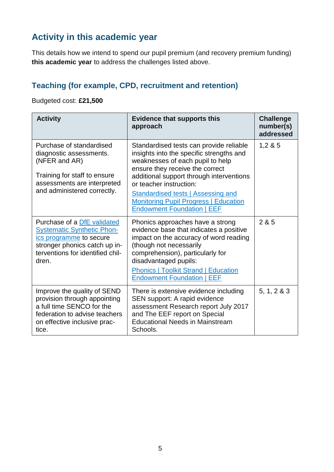## **Activity in this academic year**

This details how we intend to spend our pupil premium (and recovery premium funding) **this academic year** to address the challenges listed above.

### **Teaching (for example, CPD, recruitment and retention)**

Budgeted cost: **£21,500**

| <b>Activity</b>                                                                                                                                                           | <b>Evidence that supports this</b><br>approach                                                                                                                                                                                                                                                                                                                      | <b>Challenge</b><br>number(s)<br>addressed |
|---------------------------------------------------------------------------------------------------------------------------------------------------------------------------|---------------------------------------------------------------------------------------------------------------------------------------------------------------------------------------------------------------------------------------------------------------------------------------------------------------------------------------------------------------------|--------------------------------------------|
| Purchase of standardised<br>diagnostic assessments.<br>(NFER and AR)<br>Training for staff to ensure<br>assessments are interpreted<br>and administered correctly.        | Standardised tests can provide reliable<br>insights into the specific strengths and<br>weaknesses of each pupil to help<br>ensure they receive the correct<br>additional support through interventions<br>or teacher instruction:<br><b>Standardised tests   Assessing and</b><br><b>Monitoring Pupil Progress   Education</b><br><b>Endowment Foundation   EEF</b> | 1,285                                      |
| Purchase of a DfE validated<br><b>Systematic Synthetic Phon-</b><br>ics programme to secure<br>stronger phonics catch up in-<br>terventions for identified chil-<br>dren. | Phonics approaches have a strong<br>evidence base that indicates a positive<br>impact on the accuracy of word reading<br>(though not necessarily<br>comprehension), particularly for<br>disadvantaged pupils:<br><b>Phonics   Toolkit Strand   Education</b><br><b>Endowment Foundation   EEF</b>                                                                   | 2 & 5                                      |
| Improve the quality of SEND<br>provision through appointing<br>a full time SENCO for the<br>federation to advise teachers<br>on effective inclusive prac-<br>tice.        | There is extensive evidence including<br>SEN support: A rapid evidence<br>assessment Research report July 2017<br>and The EEF report on Special<br><b>Educational Needs in Mainstream</b><br>Schools.                                                                                                                                                               | 5, 1, 2 & 3                                |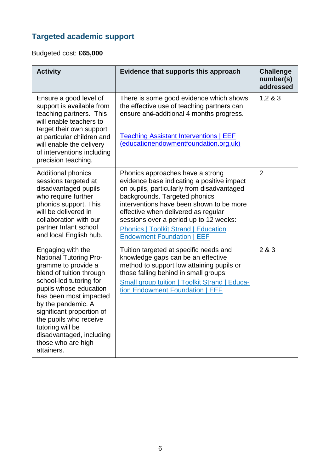# **Targeted academic support**

Budgeted cost: **£65,000**

| <b>Activity</b>                                                                                                                                                                                                                                                                                                                                       | Evidence that supports this approach                                                                                                                                                                                                                                                                                                                                           | <b>Challenge</b><br>number(s)<br>addressed |
|-------------------------------------------------------------------------------------------------------------------------------------------------------------------------------------------------------------------------------------------------------------------------------------------------------------------------------------------------------|--------------------------------------------------------------------------------------------------------------------------------------------------------------------------------------------------------------------------------------------------------------------------------------------------------------------------------------------------------------------------------|--------------------------------------------|
| Ensure a good level of<br>support is available from<br>teaching partners. This<br>will enable teachers to<br>target their own support<br>at particular children and<br>will enable the delivery<br>of interventions including<br>precision teaching.                                                                                                  | There is some good evidence which shows<br>the effective use of teaching partners can<br>ensure and additional 4 months progress.<br><b>Teaching Assistant Interventions   EEF</b><br>(educationendowmentfoundation.org.uk)                                                                                                                                                    | 1,283                                      |
| <b>Additional phonics</b><br>sessions targeted at<br>disadvantaged pupils<br>who require further<br>phonics support. This<br>will be delivered in<br>collaboration with our<br>partner Infant school<br>and local English hub.                                                                                                                        | Phonics approaches have a strong<br>evidence base indicating a positive impact<br>on pupils, particularly from disadvantaged<br>backgrounds. Targeted phonics<br>interventions have been shown to be more<br>effective when delivered as regular<br>sessions over a period up to 12 weeks:<br><b>Phonics   Toolkit Strand   Education</b><br><b>Endowment Foundation   EEF</b> | $\overline{2}$                             |
| Engaging with the<br><b>National Tutoring Pro-</b><br>gramme to provide a<br>blend of tuition through<br>school-led tutoring for<br>pupils whose education<br>has been most impacted<br>by the pandemic. A<br>significant proportion of<br>the pupils who receive<br>tutoring will be<br>disadvantaged, including<br>those who are high<br>attainers. | Tuition targeted at specific needs and<br>knowledge gaps can be an effective<br>method to support low attaining pupils or<br>those falling behind in small groups:<br><b>Small group tuition   Toolkit Strand   Educa-</b><br>tion Endowment Foundation   EEF                                                                                                                  | 2 & 3                                      |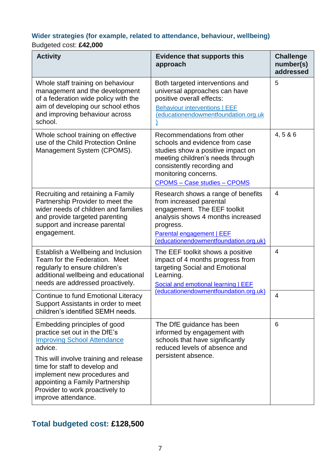#### **Wider strategies (for example, related to attendance, behaviour, wellbeing)** Budgeted cost: **£42,000**

#### **Activity Evidence that supports this approach Challenge number(s) addressed** Whole staff training on behaviour management and the development of a federation wide policy with the aim of developing our school ethos and improving behaviour across school. Both targeted interventions and universal approaches can have positive overall effects: [Behaviour interventions | EEF](https://educationendowmentfoundation.org.uk/education-evidence/teaching-learning-toolkit/behaviour-interventions)  [\(educationendowmentfoundation.org.uk](https://educationendowmentfoundation.org.uk/education-evidence/teaching-learning-toolkit/behaviour-interventions) [\)](https://educationendowmentfoundation.org.uk/education-evidence/teaching-learning-toolkit/behaviour-interventions) 5 Whole school training on effective use of the Child Protection Online Management System (CPOMS). Recommendations from other schools and evidence from case studies show a positive impact on meeting children's needs through consistently recording and monitoring concerns. CPOMS – [Case studies –](https://www.cpoms.co.uk/casestudies/) CPOMS 4, 5 & 6 Recruiting and retaining a Family Partnership Provider to meet the wider needs of children and families and provide targeted parenting support and increase parental engagement. Research shows a range of benefits from increased parental engagement. The EEF toolkit analysis shows 4 months increased progress. [Parental engagement | EEF](https://educationendowmentfoundation.org.uk/education-evidence/teaching-learning-toolkit/parental-engagement)  [\(educationendowmentfoundation.org.uk\)](https://educationendowmentfoundation.org.uk/education-evidence/teaching-learning-toolkit/parental-engagement) 4 Establish a Wellbeing and Inclusion Team for the Federation. Meet regularly to ensure children's additional wellbeing and educational needs are addressed proactively. The EEF toolkit shows a positive impact of 4 months progress from targeting Social and Emotional Learning. Social and emotional learning | EEF [\(educationendowmentfoundation.org.uk\)](https://educationendowmentfoundation.org.uk/education-evidence/teaching-learning-toolkit/social-and-emotional-learning) 4 Continue to fund Emotional Literacy Support Assistants in order to meet children's identified SEMH needs. 4 Embedding principles of good practice set out in the DfE's [Improving School Attendance](https://www.gov.uk/government/publications/school-attendance/framework-for-securing-full-attendance-actions-for-schools-and-local-authorities) advice. This will involve training and release The DfE guidance has been informed by engagement with schools that have significantly reduced levels of absence and persistent absence. 6

time for staff to develop and implement new procedures and appointing a Family Partnership Provider to work proactively to improve attendance.

#### **Total budgeted cost: £128,500**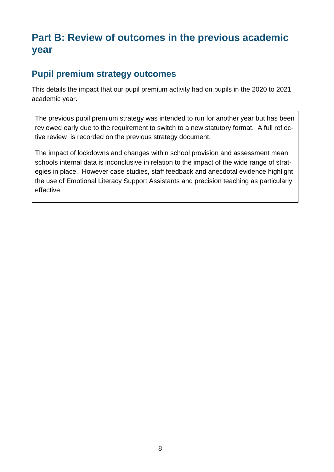# **Part B: Review of outcomes in the previous academic year**

#### **Pupil premium strategy outcomes**

This details the impact that our pupil premium activity had on pupils in the 2020 to 2021 academic year.

The previous pupil premium strategy was intended to run for another year but has been reviewed early due to the requirement to switch to a new statutory format. A full reflective review is recorded on the previous strategy document.

The impact of lockdowns and changes within school provision and assessment mean schools internal data is inconclusive in relation to the impact of the wide range of strategies in place. However case studies, staff feedback and anecdotal evidence highlight the use of Emotional Literacy Support Assistants and precision teaching as particularly effective.